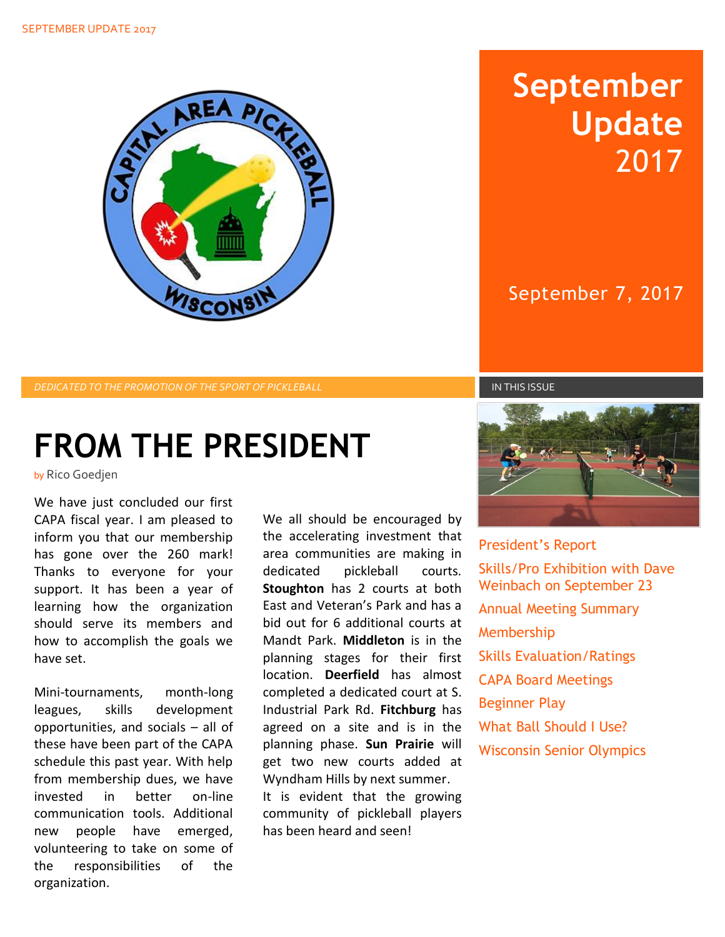

## **September Update** 2017

September 7, 2017

*DEDICATED TO THE PROMOTION OF THE SPORT OF PICKLEBALL* IN THIS ISSUE

# **FROM THE PRESIDENT**

by Rico Goedjen

We have just concluded our first CAPA fiscal year. I am pleased to inform you that our membership has gone over the 260 mark! Thanks to everyone for your support. It has been a year of learning how the organization should serve its members and how to accomplish the goals we have set.

Mini-tournaments, month-long leagues, skills development opportunities, and socials – all of these have been part of the CAPA schedule this past year. With help from membership dues, we have invested in better on-line communication tools. Additional new people have emerged, volunteering to take on some of the responsibilities of the organization.

We all should be encouraged by the accelerating investment that area communities are making in dedicated pickleball courts. **Stoughton** has 2 courts at both East and Veteran's Park and has a bid out for 6 additional courts at Mandt Park. **Middleton** is in the planning stages for their first location. **Deerfield** has almost completed a dedicated court at S. Industrial Park Rd. **Fitchburg** has agreed on a site and is in the planning phase. **Sun Prairie** will get two new courts added at Wyndham Hills by next summer. It is evident that the growing community of pickleball players has been heard and seen!



President's Report Skills/Pro Exhibition with Dave Weinbach on September 23 Annual Meeting Summary Membership Skills Evaluation/Ratings CAPA Board Meetings Beginner Play What Ball Should I Use? Wisconsin Senior Olympics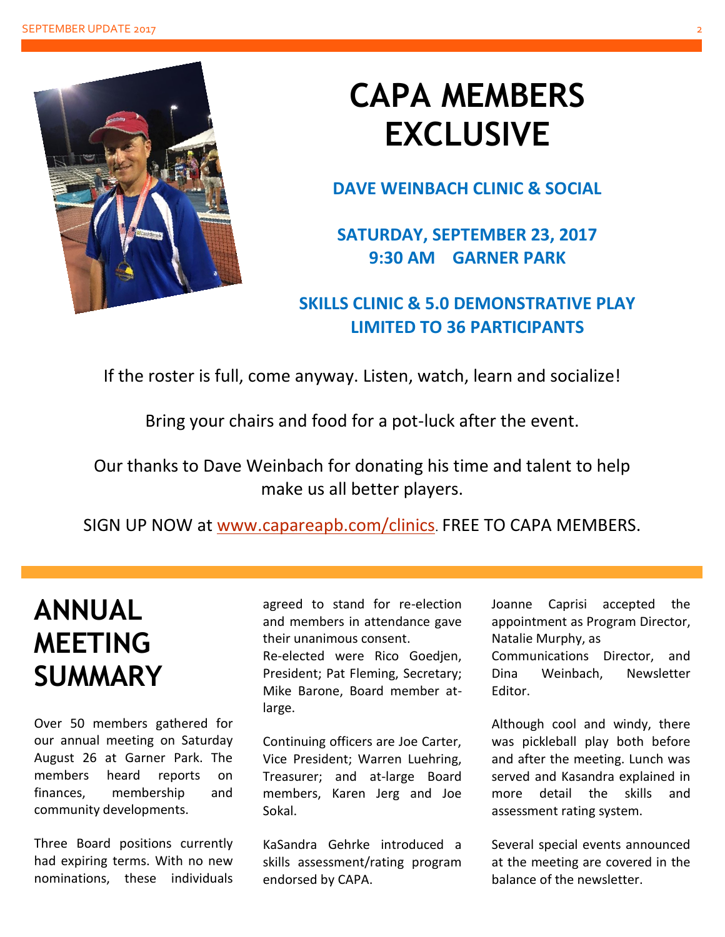

## **CAPA MEMBERS EXCLUSIVE**

**DAVE WEINBACH CLINIC & SOCIAL**

**SATURDAY, SEPTEMBER 23, 2017 9:30 AM GARNER PARK**

### **SKILLS CLINIC & 5.0 DEMONSTRATIVE PLAY LIMITED TO 36 PARTICIPANTS**

If the roster is full, come anyway. Listen, watch, learn and socialize!

Bring your chairs and food for a pot-luck after the event. Ĵ

Our thanks to Dave Weinbach for donating his time and talent to help make us all better players.

SIGN UP NOW at [www.capareapb.com/clinics](http://www.capareapb.com/clinics). FREE TO CAPA MEMBERS.

### **ANNUAL MEETING SUMMARY**

Over 50 members gathered for our annual meeting on Saturday August 26 at Garner Park. The members heard reports on finances, membership and community developments.

Three Board positions currently had expiring terms. With no new nominations, these individuals agreed to stand for re-election and members in attendance gave their unanimous consent.

Re-elected were Rico Goedjen, President; Pat Fleming, Secretary; Mike Barone, Board member atlarge.

Continuing officers are Joe Carter, Vice President; Warren Luehring, Treasurer; and at-large Board members, Karen Jerg and Joe Sokal.

KaSandra Gehrke introduced a skills assessment/rating program endorsed by CAPA.

Joanne Caprisi accepted the appointment as Program Director, Natalie Murphy, as

Communications Director, and Dina Weinbach, Newsletter Editor.

Although cool and windy, there was pickleball play both before and after the meeting. Lunch was served and Kasandra explained in more detail the skills and assessment rating system.

Several special events announced at the meeting are covered in the balance of the newsletter.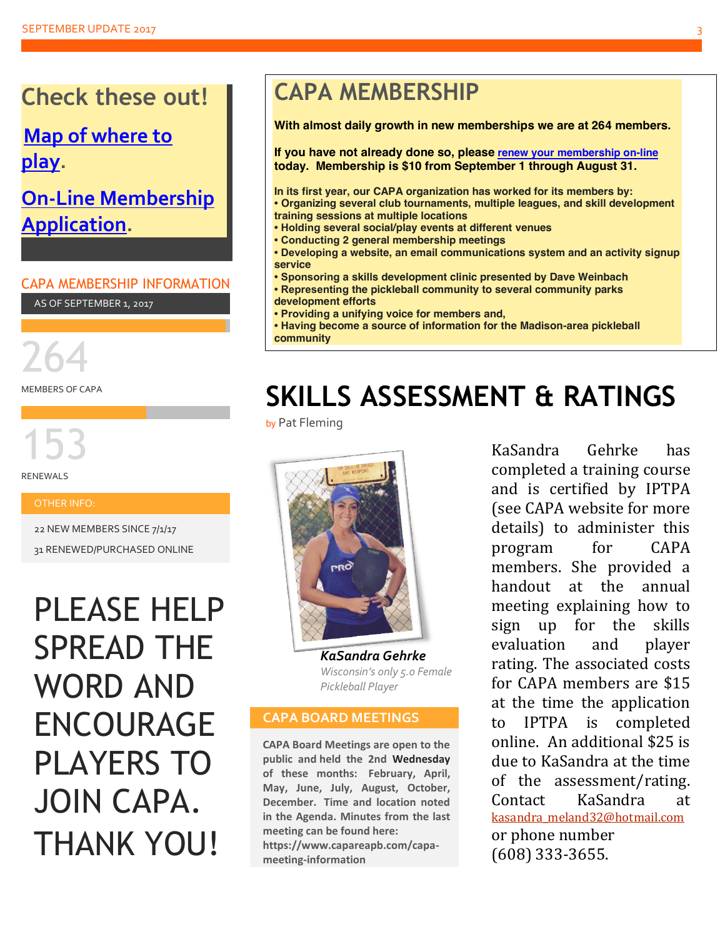### **Check these out!**

### **[Map of where to](https://www.capareapb.com/map)  [play.](https://www.capareapb.com/map)**

### **[On-Line Membership](https://www.capareapb.com/membership-application)  [Application.](https://www.capareapb.com/membership-application)**

#### CAPA MEMBERSHIP INFORMATION

AS OF SEPTEMBER 1, 2017

264

MEMBERS OF CAPA

153

RENEWALS

#### OTHER INFO:

22 NEW MEMBERS SINCE 7/1/17

31 RENEWED/PURCHASED ONLINE

## PLEASE HELP SPREAD THE WORD AND ENCOURAGE PLAYERS TO JOIN CAPA. THANK YOU!

### **CAPA MEMBERSHIP**

**With almost daily growth in new memberships we are at 264 members.**

**If you have not already done so, please [renew your membership on-line](https://www.capareapb.com/member-benefits) today. Membership is \$10 from September 1 through August 31.**

**In its first year, our CAPA organization has worked for its members by: • Organizing several club tournaments, multiple leagues, and skill development training sessions at multiple locations**

- **Holding several social/play events at different venues**
- **Conducting 2 general membership meetings**
- **Developing a website, an email communications system and an activity signup service**
- **Sponsoring a skills development clinic presented by Dave Weinbach**
- **Representing the pickleball community to several community parks development efforts**
- **Providing a unifying voice for members and,**
- **Having become a source of information for the Madison-area pickleball community**

## **SKILLS ASSESSMENT & RATINGS**

by Pat Fleming



*KaSandra Gehrke Wisconsin's only 5.0 Female Pickleball Player*

#### **CAPA BOARD MEETINGS**

**CAPA Board Meetings are open to the public and held the 2nd Wednesday of these months: February, April, May, June, July, August, October, December. Time and location noted in the Agenda. Minutes from the last meeting can be found here: https://www.capareapb.com/capameeting-information**

KaSandra Gehrke has completed a training course and is certified by IPTPA (see CAPA website for more details) to administer this program for CAPA members. She provided a handout at the annual meeting explaining how to sign up for the skills evaluation and player rating. The associated costs for CAPA members are \$15 at the time the application to IPTPA is completed online. An additional \$25 is due to KaSandra at the time of the assessment/rating. Contact KaSandra at [kasandra\\_meland32@hotmail.com](mailto:kasandra.meland32@hotmail.com) or phone number (608) 333-3655.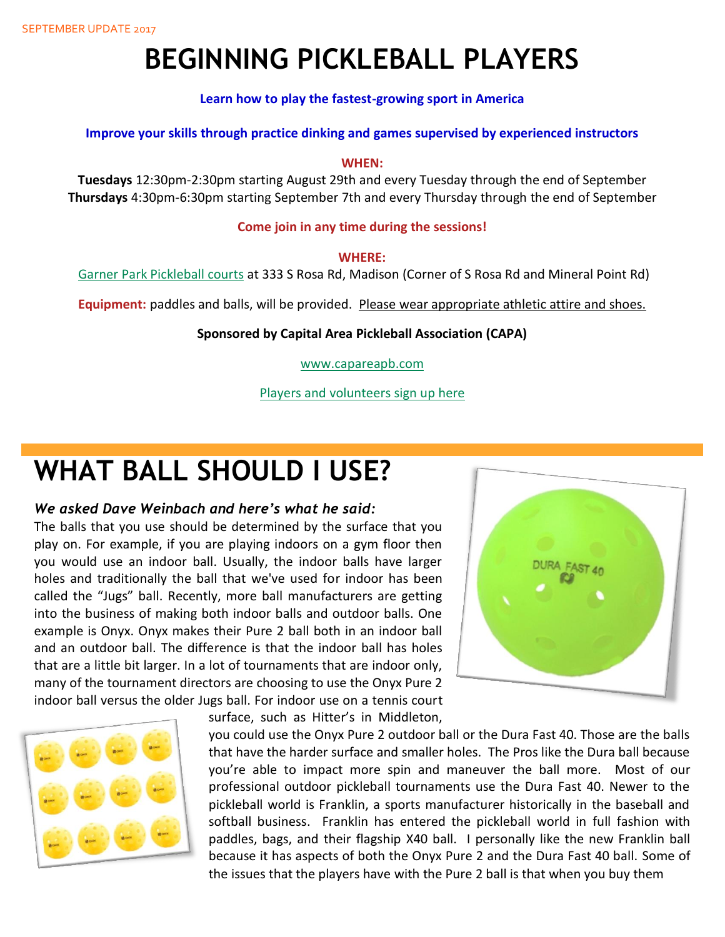## **BEGINNING PICKLEBALL PLAYERS**

**Learn how to play the fastest-growing sport in America**

**Improve your skills through practice dinking and games supervised by experienced instructors**

#### **WHEN:**

**Tuesdays** 12:30pm-2:30pm starting August 29th and every Tuesday through the end of September **Thursdays** 4:30pm-6:30pm starting September 7th and every Thursday through the end of September

#### **Come join in any time during the sessions!**

#### **WHERE:**

[Garner Park Pickleball courts](http://www.cityofmadison.com/parks/find-a-park/park.cfm?id=1168) at 333 S Rosa Rd, Madison (Corner of S Rosa Rd and Mineral Point Rd)

**Equipment:** paddles and balls, will be provided. Please wear appropriate athletic attire and shoes.

#### **Sponsored by Capital Area Pickleball Association (CAPA)**

[www.capareapb.com](http://www.capareapb.com/)

[Players and volunteers sign up here](http://www.signupgenius.com/go/5080f44aca62fa4ff2-beginner)

### **WHAT BALL SHOULD I USE?**

#### *We asked Dave Weinbach and here's what he said:*

The balls that you use should be determined by the surface that you play on. For example, if you are playing indoors on a gym floor then you would use an indoor ball. Usually, the indoor balls have larger holes and traditionally the ball that we've used for indoor has been called the "Jugs" ball. Recently, more ball manufacturers are getting into the business of making both indoor balls and outdoor balls. One example is Onyx. Onyx makes their Pure 2 ball both in an indoor ball and an outdoor ball. The difference is that the indoor ball has holes that are a little bit larger. In a lot of tournaments that are indoor only, many of the tournament directors are choosing to use the Onyx Pure 2 indoor ball versus the older Jugs ball. For indoor use on a tennis court







you could use the Onyx Pure 2 outdoor ball or the Dura Fast 40. Those are the balls that have the harder surface and smaller holes. The Pros like the Dura ball because you're able to impact more spin and maneuver the ball more. Most of our professional outdoor pickleball tournaments use the Dura Fast 40. Newer to the pickleball world is Franklin, a sports manufacturer historically in the baseball and softball business. Franklin has entered the pickleball world in full fashion with paddles, bags, and their flagship X40 ball. I personally like the new Franklin ball because it has aspects of both the Onyx Pure 2 and the Dura Fast 40 ball. Some of the issues that the players have with the Pure 2 ball is that when you buy them